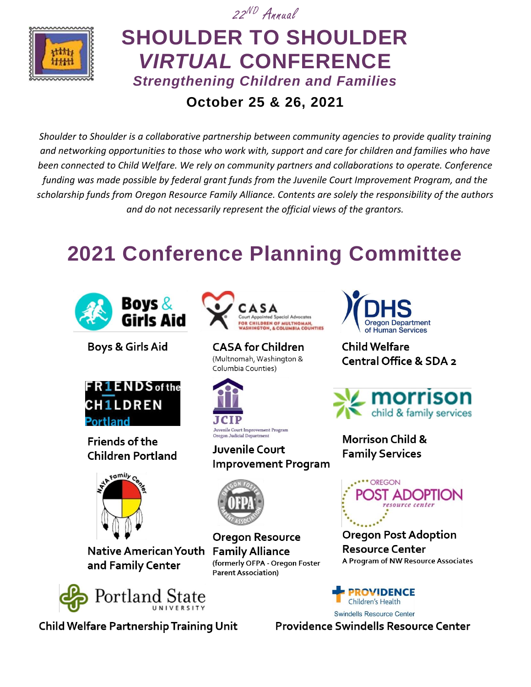

## 22 ND Annual **SHOULDER TO SHOULDER** *VIRTUAL* **CONFERENCE** *Strengthening Children and Families* **October 25 & 26, 2021**

*Shoulder to Shoulder is a collaborative partnership between community agencies to provide quality training and networking opportunities to those who work with, support and care for children and families who have been connected to Child Welfare. We rely on community partners and collaborations to operate. Conference funding was made possible by federal grant funds from the Juvenile Court Improvement Program, and the scholarship funds from Oregon Resource Family Alliance. Contents are solely the responsibility of the authors and do not necessarily represent the official views of the grantors.*

# **2021 Conference Planning Committee**



**Boys & Girls Aid** 



**Friends of the Children Portland** 



Native American Youth and Family Center



**Child Welfare Partnership Training Unit** 



**CASA for Children** (Multnomah, Washington & Columbia Counties)



Juvenile Court **Improvement Program** 



**Oregon Resource Family Alliance** (formerly OFPA - Oregon Foster **Parent Association)** 



**Child Welfare** Central Office & SDA 2



**Morrison Child & Family Services** 



**Oregon Post Adoption Resource Center** A Program of NW Resource Associates

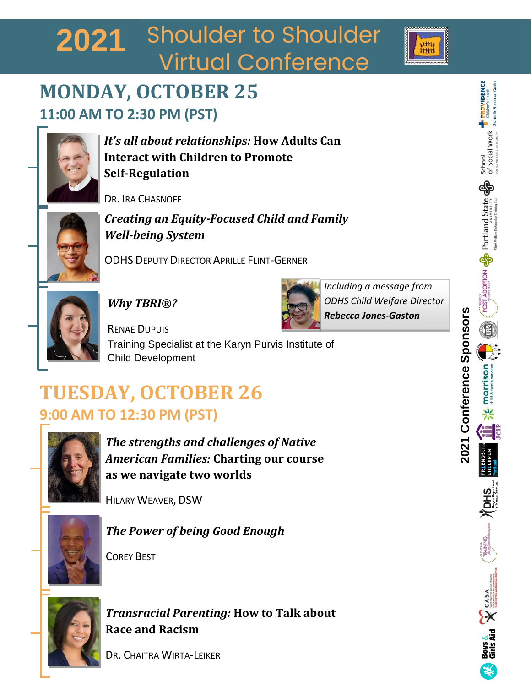# 2021 Shoulder to Shoulder **Virtual Conference**

## **MONDAY, OCTOBER 25 11:00 AM TO 2:30 PM (PST)**



*It's all about relationships:* **How Adults Can Interact with Children to Promote Self-Regulation** 

DR. IRA CHASNOFF



*Creating an Equity-Focused Child and Family Well-being System*

ODHS DEPUTY DIRECTOR APRILLE FLINT-GERNER



*Why TBRI®?*



*Including a message from ODHS Child Welfare Director Rebecca Jones-Gaston*

RENAE DUPUIS Training Specialist at the Karyn Purvis Institute of Child Development

# **TUESDAY, OCTOBER 26 9:00 AM TO 12:30 PM (PST)**



*The strengths and challenges of Native American Families:* **Charting our course as we navigate two worlds**

HILARY WEAVER, DSW



*The Power of being Good Enough*



COREY BEST

*Transracial Parenting:* **How to Talk about Race and Racism**

DR. CHAITRA WIRTA-LEIKER

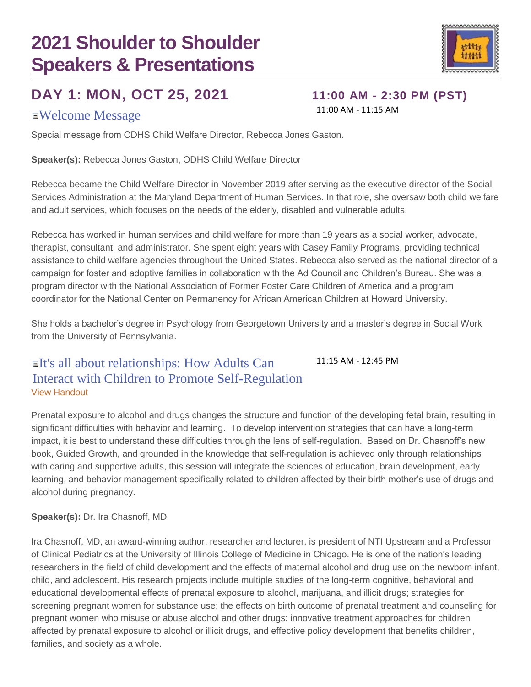### **DAY 1: MON, OCT 25, 2021 11:00 AM - 2:30 PM (PST)**

### Welcome Message 11:00 AM - 11:15 AM

Special message from ODHS Child Welfare Director, Rebecca Jones Gaston.

**Speaker(s):** Rebecca Jones Gaston, ODHS Child Welfare Director

Rebecca became the Child Welfare Director in November 2019 after serving as the executive director of the Social Services Administration at the Maryland Department of Human Services. In that role, she oversaw both child welfare and adult services, which focuses on the needs of the elderly, disabled and vulnerable adults.

Rebecca has worked in human services and child welfare for more than 19 years as a social worker, advocate, therapist, consultant, and administrator. She spent eight years with Casey Family Programs, providing technical assistance to child welfare agencies throughout the United States. Rebecca also served as the national director of a campaign for foster and adoptive families in collaboration with the Ad Council and Children's Bureau. She was a program director with the National Association of Former Foster Care Children of America and a program coordinator for the National Center on Permanency for African American Children at Howard University.

She holds a bachelor's degree in Psychology from Georgetown University and a master's degree in Social Work from the University of Pennsylvania.

#### It's all about relationships: How Adults Can Interact with Children to Promote Self-Regulation 11:15 AM - 12:45 PM [View Handout](https://stsconference.com/handouts/2021/01_IraChasnoff_ItsAllAboutRelationships_Handout.pdf)

Prenatal exposure to alcohol and drugs changes the structure and function of the developing fetal brain, resulting in significant difficulties with behavior and learning. To develop intervention strategies that can have a long-term impact, it is best to understand these difficulties through the lens of self-regulation. Based on Dr. Chasnoff's new book, Guided Growth, and grounded in the knowledge that self-regulation is achieved only through relationships with caring and supportive adults, this session will integrate the sciences of education, brain development, early learning, and behavior management specifically related to children affected by their birth mother's use of drugs and alcohol during pregnancy.

### **Speaker(s):** Dr. Ira Chasnoff, MD

Ira Chasnoff, MD, an award-winning author, researcher and lecturer, is president of NTI Upstream and a Professor of Clinical Pediatrics at the University of Illinois College of Medicine in Chicago. He is one of the nation's leading researchers in the field of child development and the effects of maternal alcohol and drug use on the newborn infant, child, and adolescent. His research projects include multiple studies of the long-term cognitive, behavioral and educational developmental effects of prenatal exposure to alcohol, marijuana, and illicit drugs; strategies for screening pregnant women for substance use; the effects on birth outcome of prenatal treatment and counseling for pregnant women who misuse or abuse alcohol and other drugs; innovative treatment approaches for children affected by prenatal exposure to alcohol or illicit drugs, and effective policy development that benefits children, families, and society as a whole.

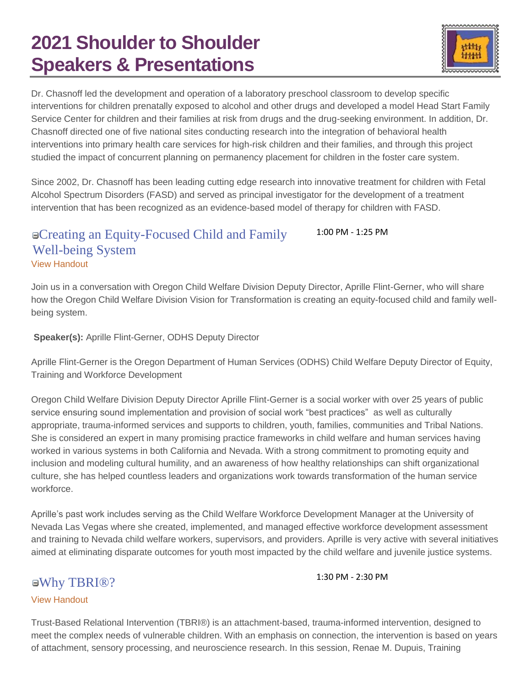

Dr. Chasnoff led the development and operation of a laboratory preschool classroom to develop specific interventions for children prenatally exposed to alcohol and other drugs and developed a model Head Start Family Service Center for children and their families at risk from drugs and the drug-seeking environment. In addition, Dr. Chasnoff directed one of five national sites conducting research into the integration of behavioral health interventions into primary health care services for high-risk children and their families, and through this project studied the impact of concurrent planning on permanency placement for children in the foster care system.

Since 2002, Dr. Chasnoff has been leading cutting edge research into innovative treatment for children with Fetal Alcohol Spectrum Disorders (FASD) and served as principal investigator for the development of a treatment intervention that has been recognized as an evidence-based model of therapy for children with FASD.

#### Creating an Equity-Focused Child and Family Well-being System 1:00 PM - 1:25 PM [View Handout](https://stsconference.com/handouts/2021/02_AFG_EquityCWSystemPresentation.pdf)

Join us in a conversation with Oregon Child Welfare Division Deputy Director, Aprille Flint-Gerner, who will share how the Oregon Child Welfare Division Vision for Transformation is creating an equity-focused child and family wellbeing system.

**Speaker(s):** Aprille Flint-Gerner, ODHS Deputy Director

Aprille Flint-Gerner is the Oregon Department of Human Services (ODHS) Child Welfare Deputy Director of Equity, Training and Workforce Development

Oregon Child Welfare Division Deputy Director Aprille Flint-Gerner is a social worker with over 25 years of public service ensuring sound implementation and provision of social work "best practices" as well as culturally appropriate, trauma-informed services and supports to children, youth, families, communities and Tribal Nations. She is considered an expert in many promising practice frameworks in child welfare and human services having worked in various systems in both California and Nevada. With a strong commitment to promoting equity and inclusion and modeling cultural humility, and an awareness of how healthy relationships can shift organizational culture, she has helped countless leaders and organizations work towards transformation of the human service workforce.

Aprille's past work includes serving as the Child Welfare Workforce Development Manager at the University of Nevada Las Vegas where she created, implemented, and managed effective workforce development assessment and training to Nevada child welfare workers, supervisors, and providers. Aprille is very active with several initiatives aimed at eliminating disparate outcomes for youth most impacted by the child welfare and juvenile justice systems.

### Why TBRI®? 1:30 PM - 2:30 PM

### [View Handout](https://stsconference.com/handouts/2021/03_RenaeMDupuis_WhyTBRI.pdf)

Trust-Based Relational Intervention (TBRI®) is an attachment-based, trauma-informed intervention, designed to meet the complex needs of vulnerable children. With an emphasis on connection, the intervention is based on years of attachment, sensory processing, and neuroscience research. In this session, Renae M. Dupuis, Training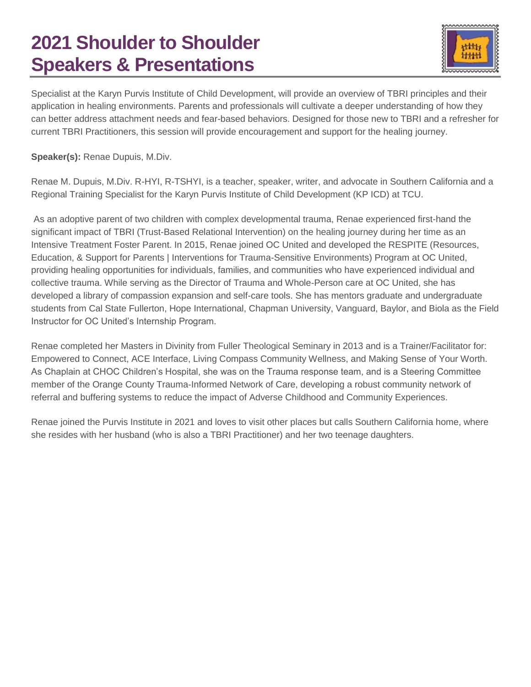

Specialist at the Karyn Purvis Institute of Child Development, will provide an overview of TBRI principles and their application in healing environments. Parents and professionals will cultivate a deeper understanding of how they can better address attachment needs and fear-based behaviors. Designed for those new to TBRI and a refresher for current TBRI Practitioners, this session will provide encouragement and support for the healing journey.

**Speaker(s):** Renae Dupuis, M.Div.

Renae M. Dupuis, M.Div. R-HYI, R-TSHYI, is a teacher, speaker, writer, and advocate in Southern California and a Regional Training Specialist for the Karyn Purvis Institute of Child Development (KP ICD) at TCU.

As an adoptive parent of two children with complex developmental trauma, Renae experienced first-hand the significant impact of TBRI (Trust-Based Relational Intervention) on the healing journey during her time as an Intensive Treatment Foster Parent. In 2015, Renae joined OC United and developed the RESPITE (Resources, Education, & Support for Parents | Interventions for Trauma-Sensitive Environments) Program at OC United, providing healing opportunities for individuals, families, and communities who have experienced individual and collective trauma. While serving as the Director of Trauma and Whole-Person care at OC United, she has developed a library of compassion expansion and self-care tools. She has mentors graduate and undergraduate students from Cal State Fullerton, Hope International, Chapman University, Vanguard, Baylor, and Biola as the Field Instructor for OC United's Internship Program.

Renae completed her Masters in Divinity from Fuller Theological Seminary in 2013 and is a Trainer/Facilitator for: Empowered to Connect, ACE Interface, Living Compass Community Wellness, and Making Sense of Your Worth. As Chaplain at CHOC Children's Hospital, she was on the Trauma response team, and is a Steering Committee member of the Orange County Trauma-Informed Network of Care, developing a robust community network of referral and buffering systems to reduce the impact of Adverse Childhood and Community Experiences.

Renae joined the Purvis Institute in 2021 and loves to visit other places but calls Southern California home, where she resides with her husband (who is also a TBRI Practitioner) and her two teenage daughters.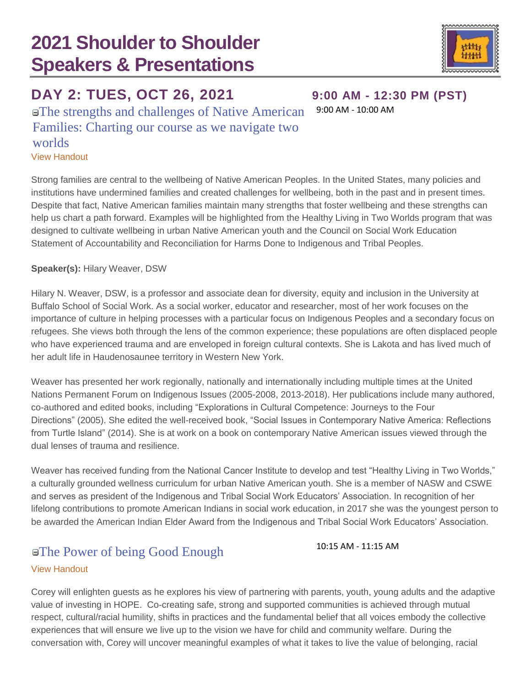### **DAY 2: TUES, OCT 26, 2021 9:00 AM - 12:30 PM (PST)**

The strengths and challenges of Native American Families: Charting our course as we navigate two worlds

[View Handout](https://stsconference.com/handouts/2021/04_HilaryWeaver_StrengthsChallengesofNativeAmericanFamilies.pdf)

Strong families are central to the wellbeing of Native American Peoples. In the United States, many policies and institutions have undermined families and created challenges for wellbeing, both in the past and in present times. Despite that fact, Native American families maintain many strengths that foster wellbeing and these strengths can help us chart a path forward. Examples will be highlighted from the Healthy Living in Two Worlds program that was designed to cultivate wellbeing in urban Native American youth and the Council on Social Work Education Statement of Accountability and Reconciliation for Harms Done to Indigenous and Tribal Peoples.

### **Speaker(s):** Hilary Weaver, DSW

Hilary N. Weaver, DSW, is a professor and associate dean for diversity, equity and inclusion in the University at Buffalo School of Social Work. As a social worker, educator and researcher, most of her work focuses on the importance of culture in helping processes with a particular focus on Indigenous Peoples and a secondary focus on refugees. She views both through the lens of the common experience; these populations are often displaced people who have experienced trauma and are enveloped in foreign cultural contexts. She is Lakota and has lived much of her adult life in Haudenosaunee territory in Western New York.

Weaver has presented her work regionally, nationally and internationally including multiple times at the United Nations Permanent Forum on Indigenous Issues (2005-2008, 2013-2018). Her publications include many authored, co-authored and edited books, including "Explorations in Cultural Competence: Journeys to the Four Directions" (2005). She edited the well-received book, "Social Issues in Contemporary Native America: Reflections from Turtle Island" (2014). She is at work on a book on contemporary Native American issues viewed through the dual lenses of trauma and resilience.

Weaver has received funding from the National Cancer Institute to develop and test "Healthy Living in Two Worlds," a culturally grounded wellness curriculum for urban Native American youth. She is a member of NASW and CSWE and serves as president of the Indigenous and Tribal Social Work Educators' Association. In recognition of her lifelong contributions to promote American Indians in social work education, in 2017 she was the youngest person to be awarded the American Indian Elder Award from the Indigenous and Tribal Social Work Educators' Association.

### ■The Power of being Good Enough 10:15 AM - 11:15 AM

### [View Handout](https://stsconference.com/handouts/2021/05_CoreyBest_Handouts_3-ReferenceArticles.pdf)

Corey will enlighten guests as he explores his view of partnering with parents, youth, young adults and the adaptive value of investing in HOPE. Co-creating safe, strong and supported communities is achieved through mutual respect, cultural/racial humility, shifts in practices and the fundamental belief that all voices embody the collective experiences that will ensure we live up to the vision we have for child and community welfare. During the conversation with, Corey will uncover meaningful examples of what it takes to live the value of belonging, racial

9:00 AM - 10:00 AM